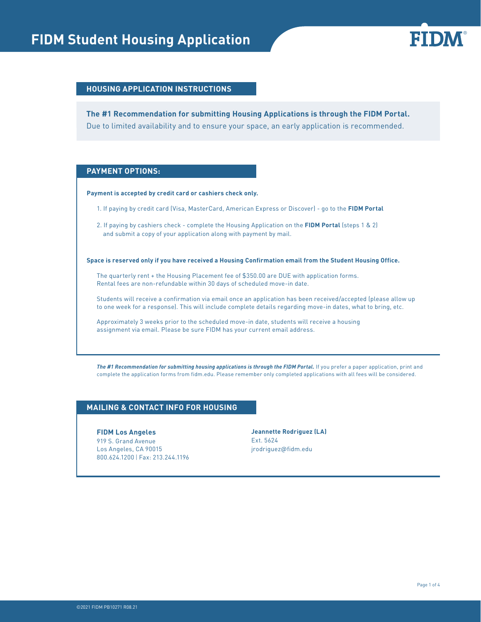# **FIDM Student Housing Application BILITY**



#### **HOUSING APPLICATION INSTRUCTIONS**

Due to limited availability and to ensure your space, an early application is recommended. **The #1 Recommendation for submitting Housing Applications is through the FIDM Portal.**

#### **PAYMENT OPTIONS:**

#### **Payment is accepted by credit card or cashiers check only.**

- 1. If paying by credit card (Visa, MasterCard, American Express or Discover) go to the **FIDM Portal**
- 2. If paying by cashiers check complete the Housing Application on the **FIDM Portal** (steps 1 & 2) and submit a copy of your application along with payment by mail.

**Space is reserved only if you have received a Housing Confirmation email from the Student Housing Office.** 

The quarterly rent + the Housing Placement fee of \$350.00 are DUE with application forms. Rental fees are non-refundable within 30 days of scheduled move-in date.

Students will receive a confirmation via email once an application has been received/accepted (please allow up to one week for a response). This will include complete details regarding move-in dates, what to bring, etc.

Approximately 3 weeks prior to the scheduled move-in date, students will receive a housing assignment via email. Please be sure FIDM has your current email address.

*The #1 Recommendation for submitting housing applications is through the FIDM Portal.* If you prefer a paper application, print and complete the application forms from fidm.edu. Please remember only completed applications with all fees will be considered.

#### **MAILING & CONTACT INFO FOR HOUSING**

#### **FIDM Los Angeles**

919 S. Grand Avenue Los Angeles, CA 90015 800.624.1200 | Fax: 213.244.1196

**Jeannette Rodriguez (LA)**  Ext. 5624 jrodriguez@fidm.edu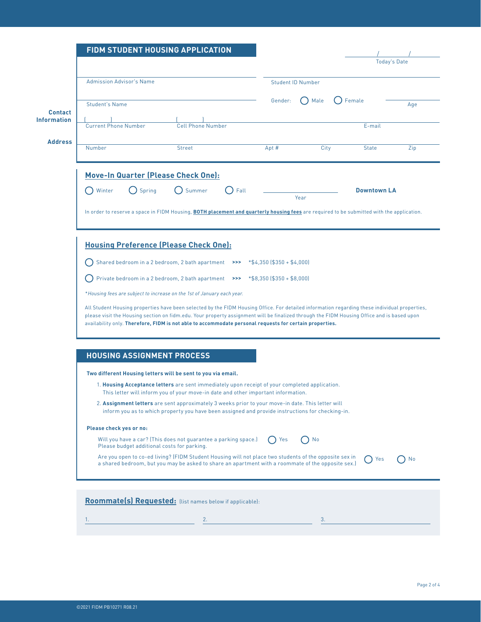|                             |                                             | FIDM STUDENT HOUSING APPLICATION                                                                                                                                                                             |      |                               |                          |        |                    |                     |
|-----------------------------|---------------------------------------------|--------------------------------------------------------------------------------------------------------------------------------------------------------------------------------------------------------------|------|-------------------------------|--------------------------|--------|--------------------|---------------------|
|                             |                                             |                                                                                                                                                                                                              |      |                               |                          |        |                    | <b>Today's Date</b> |
|                             | <b>Admission Advisor's Name</b>             |                                                                                                                                                                                                              |      |                               | <b>Student ID Number</b> |        |                    |                     |
| <b>Student's Name</b>       |                                             |                                                                                                                                                                                                              |      | Gender:                       | Male                     | Female |                    | Age                 |
|                             |                                             |                                                                                                                                                                                                              |      |                               |                          |        |                    |                     |
| <b>Current Phone Number</b> |                                             | <b>Cell Phone Number</b>                                                                                                                                                                                     |      |                               |                          |        | E-mail             |                     |
| Number                      |                                             | <b>Street</b>                                                                                                                                                                                                |      | Apt #                         | City                     |        | <b>State</b>       | Zip                 |
|                             |                                             | Move-In Quarter (Please Check One):                                                                                                                                                                          |      |                               |                          |        |                    |                     |
| Winter                      | Spring                                      | Summer                                                                                                                                                                                                       | Fall |                               |                          |        | <b>Downtown LA</b> |                     |
|                             |                                             |                                                                                                                                                                                                              |      |                               | Year                     |        |                    |                     |
|                             |                                             | In order to reserve a space in FIDM Housing, <b>BOTH placement and quarterly housing fees</b> are required to be submitted with the application.                                                             |      |                               |                          |        |                    |                     |
|                             |                                             |                                                                                                                                                                                                              |      |                               |                          |        |                    |                     |
|                             |                                             | <b>Housing Preference (Please Check One):</b>                                                                                                                                                                |      |                               |                          |        |                    |                     |
|                             |                                             | Shared bedroom in a 2 bedroom, 2 bath apartment                                                                                                                                                              | >>   | $*$ \$4,350 (\$350 + \$4,000) |                          |        |                    |                     |
|                             |                                             | Private bedroom in a 2 bedroom, 2 bath apartment                                                                                                                                                             | >>   | $*$ \$8,350 (\$350 + \$8,000) |                          |        |                    |                     |
|                             |                                             | *Housing fees are subject to increase on the 1st of January each year.                                                                                                                                       |      |                               |                          |        |                    |                     |
|                             |                                             | All Student Housing properties have been selected by the FIDM Housing Office. For detailed information regarding these individual properties,                                                                |      |                               |                          |        |                    |                     |
|                             |                                             |                                                                                                                                                                                                              |      |                               |                          |        |                    |                     |
|                             |                                             | please visit the Housing section on fidm.edu. Your property assignment will be finalized through the FIDM Housing Office and is based upon                                                                   |      |                               |                          |        |                    |                     |
|                             |                                             | availability only. Therefore, FIDM is not able to accommodate personal requests for certain properties.                                                                                                      |      |                               |                          |        |                    |                     |
|                             |                                             |                                                                                                                                                                                                              |      |                               |                          |        |                    |                     |
|                             |                                             |                                                                                                                                                                                                              |      |                               |                          |        |                    |                     |
|                             | <b>HOUSING ASSIGNMENT PROCESS</b>           |                                                                                                                                                                                                              |      |                               |                          |        |                    |                     |
|                             |                                             | Two different Housing letters will be sent to you via email.<br>1. Housing Acceptance letters are sent immediately upon receipt of your completed application.                                               |      |                               |                          |        |                    |                     |
|                             |                                             | This letter will inform you of your move-in date and other important information.                                                                                                                            |      |                               |                          |        |                    |                     |
|                             |                                             | 2. Assignment letters are sent approximately 3 weeks prior to your move-in date. This letter will<br>inform you as to which property you have been assigned and provide instructions for checking-in.        |      |                               |                          |        |                    |                     |
| Please check yes or no:     |                                             |                                                                                                                                                                                                              |      |                               |                          |        |                    |                     |
|                             | Please budget additional costs for parking. | Will you have a car? (This does not guarantee a parking space.)                                                                                                                                              |      | Yes                           | No                       |        |                    |                     |
|                             |                                             | Are you open to co-ed living? (FIDM Student Housing will not place two students of the opposite sex in<br>a shared bedroom, but you may be asked to share an apartment with a roommate of the opposite sex.) |      |                               |                          |        | Yes                |                     |
|                             |                                             |                                                                                                                                                                                                              |      |                               |                          |        |                    |                     |
|                             |                                             | Roommate(s) Requested: (list names below if applicable):                                                                                                                                                     |      |                               |                          |        |                    |                     |
| 1.                          |                                             | 2.                                                                                                                                                                                                           |      |                               | 3.                       |        |                    | No                  |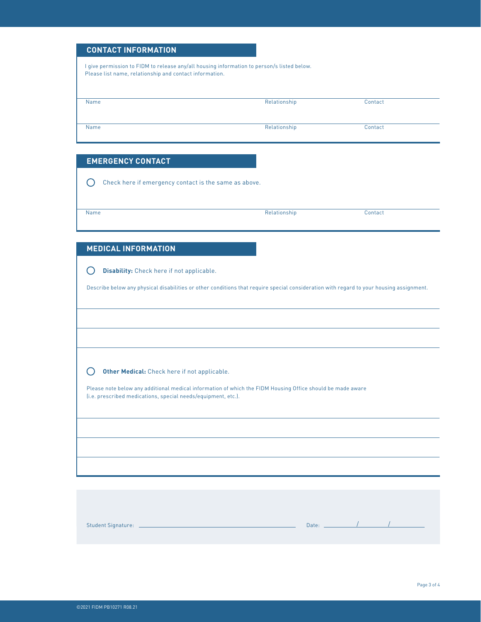#### **CONTACT INFORMATION**

I give permission to FIDM to release any/all housing information to person/s listed below. Please list name, relationship and contact information.

| Name | Relationship | Contact |  |
|------|--------------|---------|--|
|      |              |         |  |
|      |              |         |  |
|      |              |         |  |
| Name | Relationship | Contact |  |
|      |              |         |  |
|      |              |         |  |

#### **EMERGENCY CONTACT**

 $\bigcirc$ Check here if emergency contact is the same as above.

Name Relationship Contact Contact Contact Contact Contact Contact Contact Contact Contact Contact Contact Contact Contact Contact Contact Contact Contact Contact Contact Contact Contact Contact Contact Contact Contact Cont

### **MEDICAL INFORMATION**

**Disability:** Check here if not applicable.

Describe below any physical disabilities or other conditions that require special consideration with regard to your housing assignment.

#### $\bigcirc$ **Other Medical:** Check here if not applicable.

Please note below any additional medical information of which the FIDM Housing Office should be made aware (i.e. prescribed medications, special needs/equipment, etc.).

Student Signature: 2000 Contract Contract Contract Contract Contract Contract Contract Contract Contract Contract Contract Contract Contract Contract Contract Contract Contract Contract Contract Contract Contract Contract

/ /